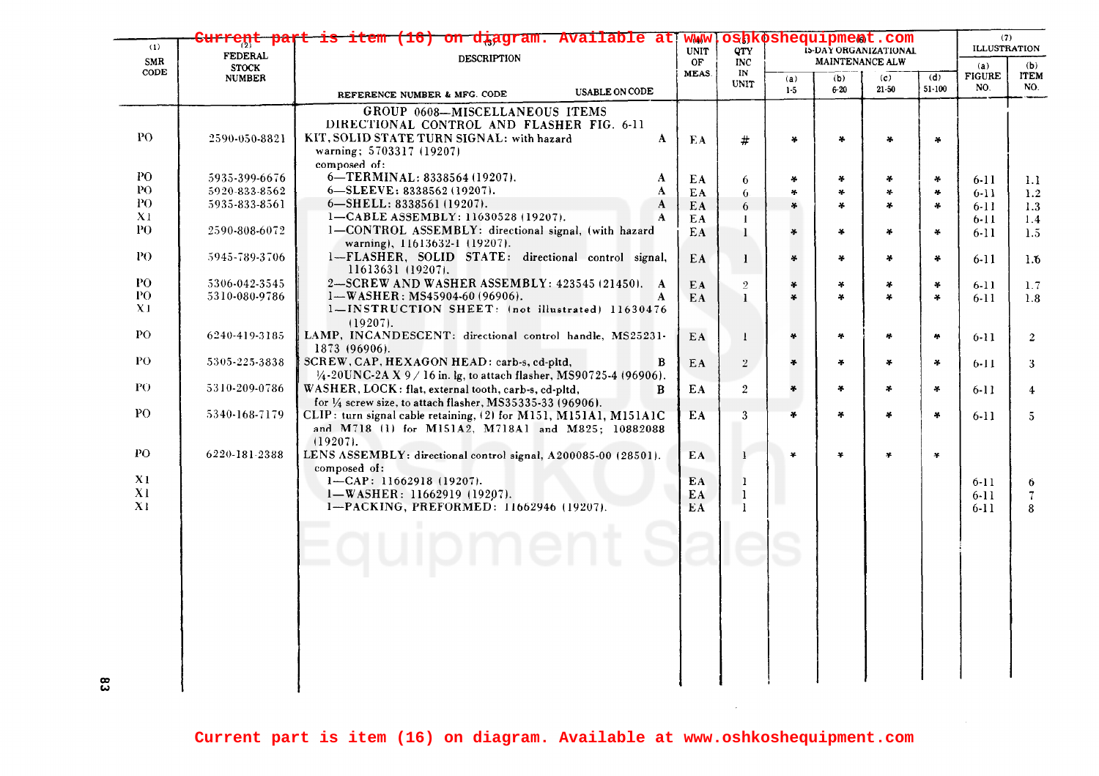| (1)            | eņc                            | item (16) on diagram. Available at                                         | oshkoshequipment.com<br><b>WWW</b><br>15-DAY ORGANIZATIONAL<br><b>UNIT</b><br><b>OTY</b> |                   |               |                 |               |            | (7)<br><b>ILLUSTRATION</b> |                          |
|----------------|--------------------------------|----------------------------------------------------------------------------|------------------------------------------------------------------------------------------|-------------------|---------------|-----------------|---------------|------------|----------------------------|--------------------------|
| SMR            | <b>FEDERAL</b><br><b>STOCK</b> | <b>DESCRIPTION</b>                                                         |                                                                                          | <b>INC</b>        |               | MAINTENANCE ALW |               |            | (a)<br>(b)                 |                          |
| CODE           | <b>NUMBER</b>                  |                                                                            | MEAS.                                                                                    | IN<br><b>UNIT</b> | (a)           | (b)             | (c)           | (d)        | <b>FIGURE</b>              | <b>ITEM</b>              |
|                |                                | <b>USABLE ON CODE</b><br>REFERENCE NUMBER & MFG. CODE                      |                                                                                          |                   | $1-5$         | $6 - 20$        | $21 - 50$     | $51 - 100$ | NO.                        | NO.                      |
|                |                                | GROUP 0608-MISCELLANEOUS ITEMS                                             |                                                                                          |                   |               |                 |               |            |                            |                          |
|                |                                | DIRECTIONAL CONTROL AND FLASHER FIG. 6-11                                  |                                                                                          |                   |               |                 |               |            |                            |                          |
| PO.            | 2590-050-8821                  | KIT, SOLID STATE TURN SIGNAL: with hazard<br>A                             | EA                                                                                       | #                 | ¥             | ¥.              |               | ¥          |                            |                          |
|                |                                | warning; 5703317 (19207)                                                   |                                                                                          |                   |               |                 |               |            |                            |                          |
|                |                                | composed of:                                                               |                                                                                          |                   |               |                 |               |            |                            |                          |
| PO.            | 5935-399-6676                  | 6-TERMINAL: 8338564 (19207).<br>A                                          | EA                                                                                       | 6                 | *             | ¥               | ÷             | ¥.         | $6-11$                     | 1.1                      |
| PO.<br>PO.     | 5920-833-8562                  | $6 - SLEEVE: 8338562 (19207).$<br>A                                        | EA.                                                                                      | 6.                | ×.            | 半               | $\mathcal{A}$ | ×.         | $6 - 11$                   | 1.2                      |
| X <sub>1</sub> | 5935-833-8561                  | 6-SHELL: 8338561 (19207).<br>A<br>1-CABLE ASSEMBLY: 11630528 (19207).<br>A | EA.                                                                                      | 6                 | ¥             | ÷               | $\ast$        | 4          | $6 - 11$                   | 1.3                      |
| PO.            | 2590-808-6072                  | 1-CONTROL ASSEMBLY: directional signal, (with hazard                       | EA.                                                                                      | -1                |               |                 |               |            | $6 - 11$                   | 1.4                      |
|                |                                | warning), 11613632-1 (19207).                                              | EA                                                                                       | $\mathbf{I}$      | *             | $\frac{1}{2}$   | ¥             | ¥.         | $6 - 11$                   | 1.5                      |
| PO.            | 5945-789-3706                  | 1-FLASHER, SOLID STATE: directional control signal,<br>11613631 (19207).   | EA                                                                                       | -1                | ¥             | ÷               | $\star$       | ¥.         | 6-11                       | 1.6                      |
| PO.            | 5306-042-3545                  | 2-SCREW AND WASHER ASSEMBLY: 423545 (21450). A                             | EA                                                                                       | $\overline{2}$    | ¥             | ¥               | $\ast$        | 4          | $6-11$                     | 1.7                      |
| PO             | 5310-080-9786                  | $1-WASHER: MS45904-60 (96906).$                                            | EA                                                                                       | $\mathbf{I}$      | ¥.            | ¥               | ¥             | $\ast$     | $6 - 11$                   | 1.8                      |
| X <sub>1</sub> |                                | 1-INSTRUCTION SHEET: (not illustrated) 11630476                            |                                                                                          |                   |               |                 |               |            |                            |                          |
| PO             |                                | $(19207)$ .                                                                |                                                                                          |                   |               |                 |               |            |                            |                          |
|                | 6240-419-3185                  | LAMP, INCANDESCENT: directional control handle, MS25231-<br>1873 (96906).  | EA                                                                                       | $\mathbf{I}$      | ¥.            | ¥.              | ×.            | $\sim$     | $6 - 11$                   | $\overline{2}$           |
| P <sub>O</sub> | 5305-225-3838                  | SCREW, CAP, HEXAGON HEAD: carb-s, cd-pltd,<br>B                            | EA                                                                                       | $\overline{2}$    | $\frac{1}{2}$ | $\frac{1}{2}$   | $\mathcal{H}$ | $\sim$     |                            |                          |
|                |                                | $1/4$ -20UNC-2A X 9 / 16 in. lg, to attach flasher, MS90725-4 (96906).     |                                                                                          |                   |               |                 |               |            | $6 - 11$                   | 3                        |
| PO.            | 5310-209-0786                  | WASHER, LOCK: flat, external tooth, carb-s, cd-pltd,<br>B                  | EA                                                                                       | $\overline{2}$    | ¥             | ¥               | ÷             | $\ast$     | $6-11$                     | $\overline{4}$           |
|                |                                | for $\frac{1}{4}$ screw size, to attach flasher, MS35335-33 (96906).       |                                                                                          |                   |               |                 |               |            |                            |                          |
| P <sub>O</sub> | 5340-168-7179                  | CLIP: turn signal cable retaining, (2) for M151, M151A1, M151A1C           | EA                                                                                       | 3                 | $\ast$        | ¥               | $\ast$        | ¥          | $6-11$                     | $5^{\circ}$              |
|                |                                | and M718 (1) for M151A2, M718A1 and M825; 10882088                         |                                                                                          |                   |               |                 |               |            |                            |                          |
|                |                                | $(19207)$ .                                                                |                                                                                          |                   |               |                 |               |            |                            |                          |
| PO             | 6220-181-2388                  | LENS ASSEMBLY: directional control signal, A200085-00 (28501).             | EA                                                                                       | 1                 | ¥             | ¥               | $\ast$        | ¥          |                            |                          |
|                |                                | composed of:                                                               |                                                                                          |                   |               |                 |               |            |                            |                          |
| X1             |                                | $1 - CAP: 11662918(19207).$                                                | EA                                                                                       | $\mathbf{1}$      |               |                 |               |            | $6 - 11$                   | 6                        |
| X1             |                                | 1-WASHER: 11662919 (19207).                                                | EA                                                                                       | $\mathbf{1}$      |               |                 |               |            | $6 - 11$                   | $\overline{\mathcal{L}}$ |
| X1             |                                | 1-PACKING, PREFORMED: 11662946 (19207).                                    | EA.                                                                                      | <sup>1</sup>      |               |                 |               |            | 6-11                       | 8                        |
|                |                                |                                                                            |                                                                                          |                   |               |                 |               |            |                            |                          |
|                |                                | quipment                                                                   |                                                                                          |                   |               |                 |               |            |                            |                          |
|                |                                |                                                                            |                                                                                          |                   |               |                 |               |            |                            |                          |
|                |                                |                                                                            |                                                                                          |                   |               |                 |               |            |                            |                          |
|                |                                |                                                                            |                                                                                          |                   |               |                 |               |            |                            |                          |
|                |                                |                                                                            |                                                                                          |                   |               |                 |               |            |                            |                          |
|                |                                |                                                                            |                                                                                          |                   |               |                 |               |            |                            |                          |
|                |                                |                                                                            |                                                                                          |                   |               |                 |               |            |                            |                          |
|                |                                |                                                                            |                                                                                          |                   |               |                 |               |            |                            |                          |
|                |                                |                                                                            |                                                                                          |                   |               |                 |               |            |                            |                          |
|                |                                |                                                                            |                                                                                          |                   |               |                 |               |            |                            |                          |
|                |                                |                                                                            |                                                                                          |                   |               |                 |               |            |                            |                          |
|                |                                |                                                                            |                                                                                          |                   |               |                 |               |            |                            |                          |

 $\sim 10^7$